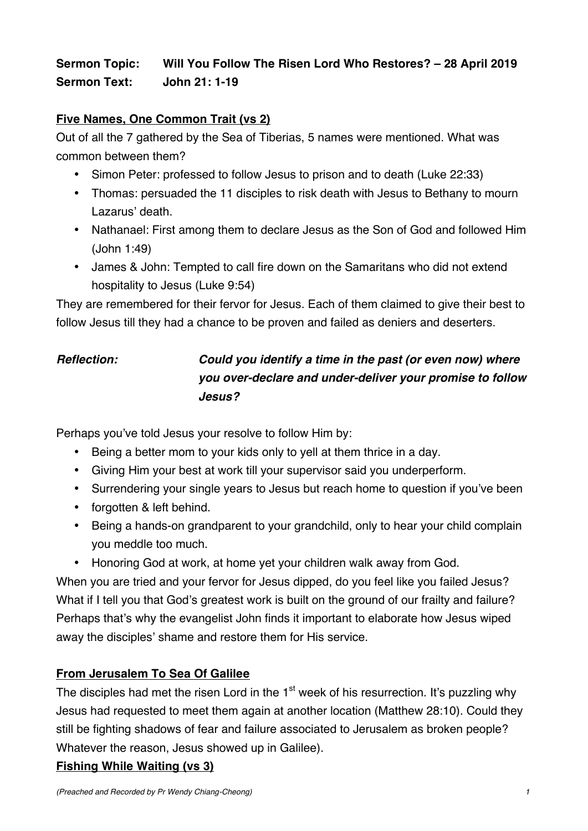# **Sermon Topic: Will You Follow The Risen Lord Who Restores? – 28 April 2019 Sermon Text: John 21: 1-19**

## **Five Names, One Common Trait (vs 2)**

Out of all the 7 gathered by the Sea of Tiberias, 5 names were mentioned. What was common between them?

- Simon Peter: professed to follow Jesus to prison and to death (Luke 22:33)
- Thomas: persuaded the 11 disciples to risk death with Jesus to Bethany to mourn Lazarus' death.
- Nathanael: First among them to declare Jesus as the Son of God and followed Him (John 1:49)
- James & John: Tempted to call fire down on the Samaritans who did not extend hospitality to Jesus (Luke 9:54)

They are remembered for their fervor for Jesus. Each of them claimed to give their best to follow Jesus till they had a chance to be proven and failed as deniers and deserters.

# *Reflection: Could you identify a time in the past (or even now) where you over-declare and under-deliver your promise to follow Jesus?*

Perhaps you've told Jesus your resolve to follow Him by:

- Being a better mom to your kids only to yell at them thrice in a day.
- Giving Him your best at work till your supervisor said you underperform.
- Surrendering your single years to Jesus but reach home to question if you've been
- forgotten & left behind.
- Being a hands-on grandparent to your grandchild, only to hear your child complain you meddle too much.
- Honoring God at work, at home yet your children walk away from God.

When you are tried and your fervor for Jesus dipped, do you feel like you failed Jesus? What if I tell you that God's greatest work is built on the ground of our frailty and failure? Perhaps that's why the evangelist John finds it important to elaborate how Jesus wiped away the disciples' shame and restore them for His service.

## **From Jerusalem To Sea Of Galilee**

The disciples had met the risen Lord in the  $1<sup>st</sup>$  week of his resurrection. It's puzzling why Jesus had requested to meet them again at another location (Matthew 28:10). Could they still be fighting shadows of fear and failure associated to Jerusalem as broken people? Whatever the reason, Jesus showed up in Galilee).

## **Fishing While Waiting (vs 3)**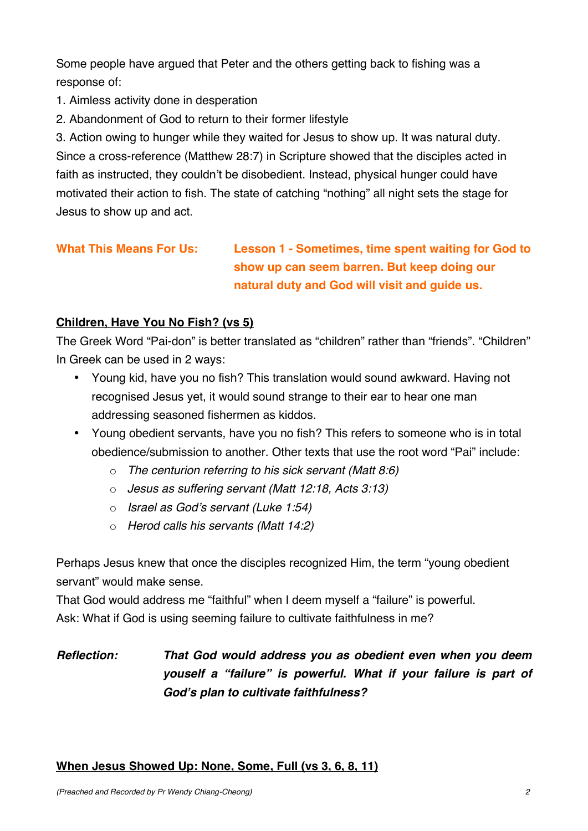Some people have argued that Peter and the others getting back to fishing was a response of:

- 1. Aimless activity done in desperation
- 2. Abandonment of God to return to their former lifestyle

3. Action owing to hunger while they waited for Jesus to show up. It was natural duty. Since a cross-reference (Matthew 28:7) in Scripture showed that the disciples acted in faith as instructed, they couldn't be disobedient. Instead, physical hunger could have motivated their action to fish. The state of catching "nothing" all night sets the stage for Jesus to show up and act.

# **What This Means For Us: Lesson 1 - Sometimes, time spent waiting for God to show up can seem barren. But keep doing our natural duty and God will visit and guide us.**

## **Children, Have You No Fish? (vs 5)**

The Greek Word "Pai-don" is better translated as "children" rather than "friends". "Children" In Greek can be used in 2 ways:

- Young kid, have you no fish? This translation would sound awkward. Having not recognised Jesus yet, it would sound strange to their ear to hear one man addressing seasoned fishermen as kiddos.
- Young obedient servants, have you no fish? This refers to someone who is in total obedience/submission to another. Other texts that use the root word "Pai" include:
	- o *The centurion referring to his sick servant (Matt 8:6)*
	- o *Jesus as suffering servant (Matt 12:18, Acts 3:13)*
	- o *Israel as God's servant (Luke 1:54)*
	- o *Herod calls his servants (Matt 14:2)*

Perhaps Jesus knew that once the disciples recognized Him, the term "young obedient servant" would make sense.

That God would address me "faithful" when I deem myself a "failure" is powerful. Ask: What if God is using seeming failure to cultivate faithfulness in me?

*Reflection: That God would address you as obedient even when you deem youself a "failure" is powerful. What if your failure is part of God's plan to cultivate faithfulness?* 

#### **When Jesus Showed Up: None, Some, Full (vs 3, 6, 8, 11)**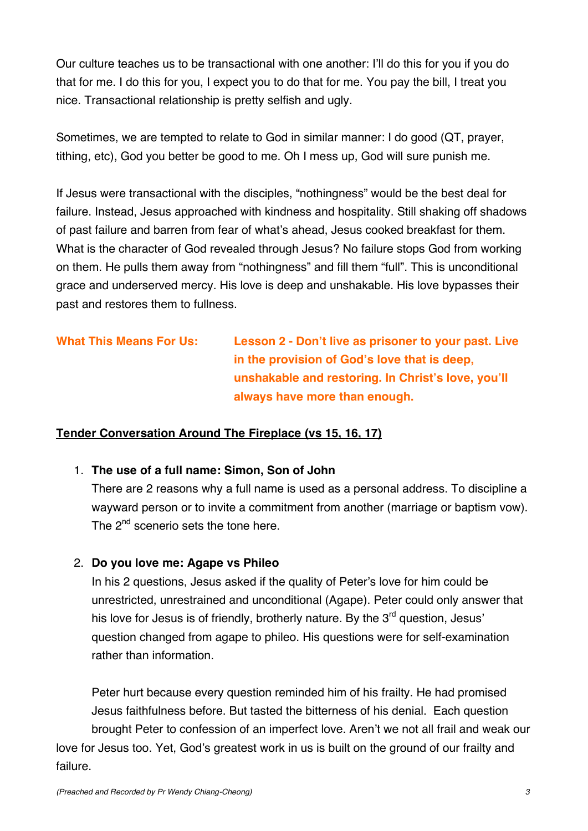Our culture teaches us to be transactional with one another: I'll do this for you if you do that for me. I do this for you, I expect you to do that for me. You pay the bill, I treat you nice. Transactional relationship is pretty selfish and ugly.

Sometimes, we are tempted to relate to God in similar manner: I do good (QT, prayer, tithing, etc), God you better be good to me. Oh I mess up, God will sure punish me.

If Jesus were transactional with the disciples, "nothingness" would be the best deal for failure. Instead, Jesus approached with kindness and hospitality. Still shaking off shadows of past failure and barren from fear of what's ahead, Jesus cooked breakfast for them. What is the character of God revealed through Jesus? No failure stops God from working on them. He pulls them away from "nothingness" and fill them "full". This is unconditional grace and underserved mercy. His love is deep and unshakable. His love bypasses their past and restores them to fullness.

**What This Means For Us: Lesson 2 - Don't live as prisoner to your past. Live in the provision of God's love that is deep, unshakable and restoring. In Christ's love, you'll always have more than enough.**

## **Tender Conversation Around The Fireplace (vs 15, 16, 17)**

### 1. **The use of a full name: Simon, Son of John**

There are 2 reasons why a full name is used as a personal address. To discipline a wayward person or to invite a commitment from another (marriage or baptism vow). The 2<sup>nd</sup> scenerio sets the tone here.

### 2. **Do you love me: Agape vs Phileo**

In his 2 questions, Jesus asked if the quality of Peter's love for him could be unrestricted, unrestrained and unconditional (Agape). Peter could only answer that his love for Jesus is of friendly, brotherly nature. By the  $3<sup>rd</sup>$  question, Jesus' question changed from agape to phileo. His questions were for self-examination rather than information.

Peter hurt because every question reminded him of his frailty. He had promised Jesus faithfulness before. But tasted the bitterness of his denial. Each question brought Peter to confession of an imperfect love. Aren't we not all frail and weak our love for Jesus too. Yet, God's greatest work in us is built on the ground of our frailty and failure.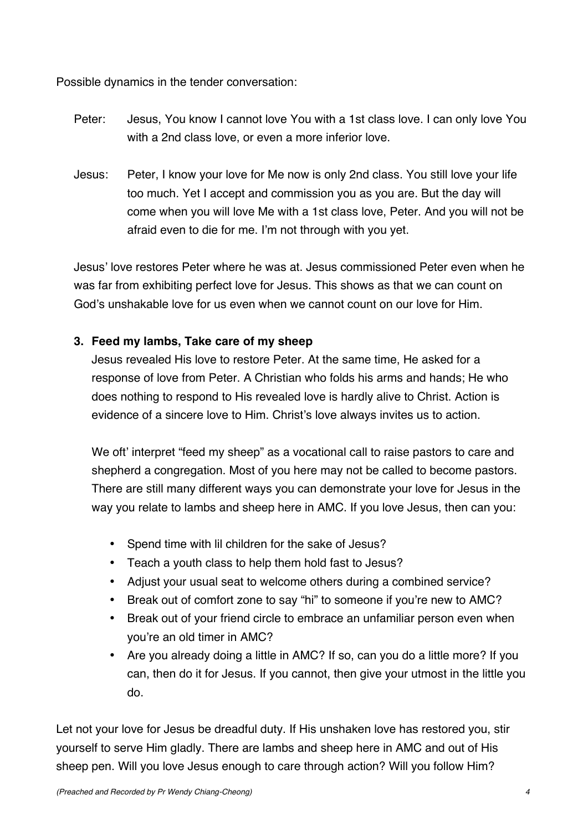Possible dynamics in the tender conversation:

- Peter: Jesus, You know I cannot love You with a 1st class love. I can only love You with a 2nd class love, or even a more inferior love.
- Jesus: Peter, I know your love for Me now is only 2nd class. You still love your life too much. Yet I accept and commission you as you are. But the day will come when you will love Me with a 1st class love, Peter. And you will not be afraid even to die for me. I'm not through with you yet.

Jesus' love restores Peter where he was at. Jesus commissioned Peter even when he was far from exhibiting perfect love for Jesus. This shows as that we can count on God's unshakable love for us even when we cannot count on our love for Him.

## **3. Feed my lambs, Take care of my sheep**

Jesus revealed His love to restore Peter. At the same time, He asked for a response of love from Peter. A Christian who folds his arms and hands; He who does nothing to respond to His revealed love is hardly alive to Christ. Action is evidence of a sincere love to Him. Christ's love always invites us to action.

We oft' interpret "feed my sheep" as a vocational call to raise pastors to care and shepherd a congregation. Most of you here may not be called to become pastors. There are still many different ways you can demonstrate your love for Jesus in the way you relate to lambs and sheep here in AMC. If you love Jesus, then can you:

- Spend time with lil children for the sake of Jesus?
- Teach a youth class to help them hold fast to Jesus?
- Adjust your usual seat to welcome others during a combined service?
- Break out of comfort zone to say "hi" to someone if you're new to AMC?
- Break out of your friend circle to embrace an unfamiliar person even when you're an old timer in AMC?
- Are you already doing a little in AMC? If so, can you do a little more? If you can, then do it for Jesus. If you cannot, then give your utmost in the little you do.

Let not your love for Jesus be dreadful duty. If His unshaken love has restored you, stir yourself to serve Him gladly. There are lambs and sheep here in AMC and out of His sheep pen. Will you love Jesus enough to care through action? Will you follow Him?